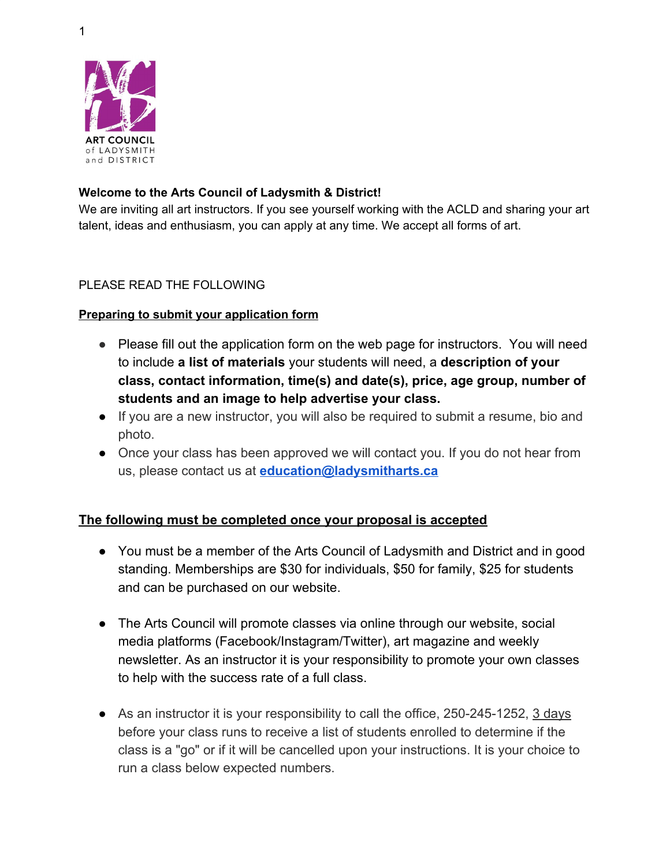1



## **Welcome to the Arts Council of Ladysmith & District!**

We are inviting all art instructors. If you see yourself working with the ACLD and sharing your art talent, ideas and enthusiasm, you can apply at any time. We accept all forms of art.

## PLEASE READ THE FOLLOWING

## **Preparing to submit your application form**

- Please fill out the application form on the web page for instructors. You will need to include **a list of materials** your students will need, a **description of your class, contact information, time(s) and date(s), price, age group, number of students and an image to help advertise your class.**
- **●** If you are a new instructor, you will also be required to submit a resume, bio and photo.
- **●** Once your class has been approved we will contact you. If you do not hear from us, please contact us at **education@ladysmitharts.ca**

## **The following must be completed once your proposal is accepted**

- You must be a member of the Arts Council of Ladysmith and District and in good standing. Memberships are \$30 for individuals, \$50 for family, \$25 for students and can be purchased on our website.
- The Arts Council will promote classes via online through our website, social media platforms (Facebook/Instagram/Twitter), art magazine and weekly newsletter. As an instructor it is your responsibility to promote your own classes to help with the success rate of a full class.
- As an instructor it is your responsibility to call the office, 250-245-1252, 3 days before your class runs to receive a list of students enrolled to determine if the class is a "go" or if it will be cancelled upon your instructions. It is your choice to run a class below expected numbers.